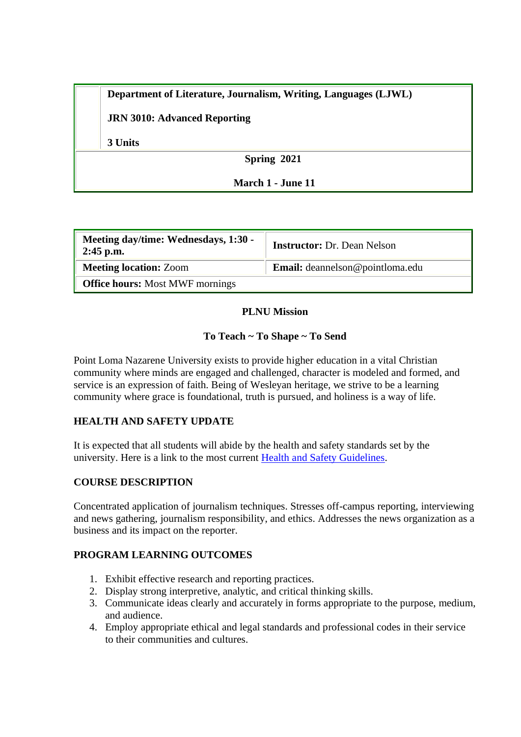**Department of Literature, Journalism, Writing, Languages (LJWL)**

**JRN 3010: Advanced Reporting**

**3 Units**

**Spring 2021**

### **March 1 - June 11**

| Meeting day/time: Wednesdays, 1:30 -<br>$2:45$ p.m. | <b>Instructor:</b> Dr. Dean Nelson |  |  |  |
|-----------------------------------------------------|------------------------------------|--|--|--|
| <b>Meeting location: Zoom</b>                       | Email: deannelson@pointloma.edu    |  |  |  |
| <b>Office hours:</b> Most MWF mornings              |                                    |  |  |  |

### **PLNU Mission**

### **To Teach ~ To Shape ~ To Send**

Point Loma Nazarene University exists to provide higher education in a vital Christian community where minds are engaged and challenged, character is modeled and formed, and service is an expression of faith. Being of Wesleyan heritage, we strive to be a learning community where grace is foundational, truth is pursued, and holiness is a way of life.

### **HEALTH AND SAFETY UPDATE**

It is expected that all students will abide by the health and safety standards set by the university. Here is a link to the most current [Health and Safety Guidelines.](https://www.pointloma.edu/coronavirus-covid-19-information/healthy-safe-community)

### **COURSE DESCRIPTION**

Concentrated application of journalism techniques. Stresses off-campus reporting, interviewing and news gathering, journalism responsibility, and ethics. Addresses the news organization as a business and its impact on the reporter.

### **PROGRAM LEARNING OUTCOMES**

- 1. Exhibit effective research and reporting practices.
- 2. Display strong interpretive, analytic, and critical thinking skills.
- 3. Communicate ideas clearly and accurately in forms appropriate to the purpose, medium, and audience.
- 4. Employ appropriate ethical and legal standards and professional codes in their service to their communities and cultures.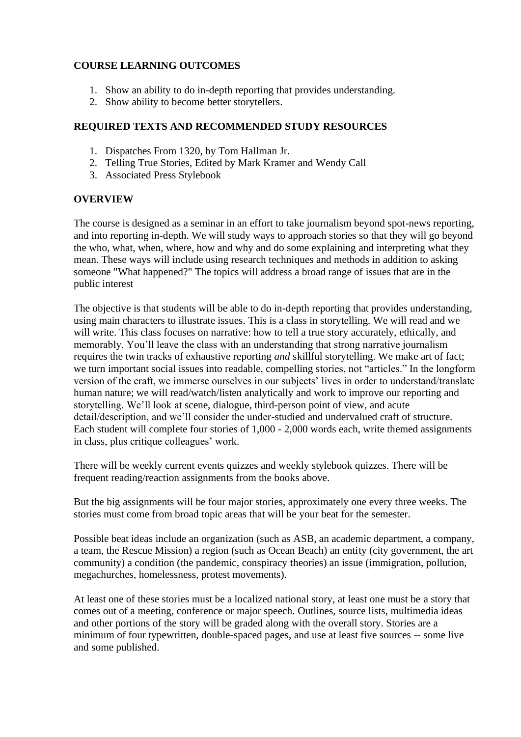### **COURSE LEARNING OUTCOMES**

- 1. Show an ability to do in-depth reporting that provides understanding.
- 2. Show ability to become better storytellers.

#### **REQUIRED TEXTS AND RECOMMENDED STUDY RESOURCES**

- 1. Dispatches From 1320, by Tom Hallman Jr.
- 2. Telling True Stories, Edited by Mark Kramer and Wendy Call
- 3. Associated Press Stylebook

#### **OVERVIEW**

The course is designed as a seminar in an effort to take journalism beyond spot-news reporting, and into reporting in-depth. We will study ways to approach stories so that they will go beyond the who, what, when, where, how and why and do some explaining and interpreting what they mean. These ways will include using research techniques and methods in addition to asking someone "What happened?" The topics will address a broad range of issues that are in the public interest

The objective is that students will be able to do in-depth reporting that provides understanding, using main characters to illustrate issues. This is a class in storytelling. We will read and we will write. This class focuses on narrative: how to tell a true story accurately, ethically, and memorably. You'll leave the class with an understanding that strong narrative journalism requires the twin tracks of exhaustive reporting *and* skillful storytelling. We make art of fact; we turn important social issues into readable, compelling stories, not "articles." In the longform version of the craft, we immerse ourselves in our subjects' lives in order to understand/translate human nature; we will read/watch/listen analytically and work to improve our reporting and storytelling. We'll look at scene, dialogue, third-person point of view, and acute detail/description, and we'll consider the under-studied and undervalued craft of structure. Each student will complete four stories of 1,000 - 2,000 words each, write themed assignments in class, plus critique colleagues' work.

There will be weekly current events quizzes and weekly stylebook quizzes. There will be frequent reading/reaction assignments from the books above.

But the big assignments will be four major stories, approximately one every three weeks. The stories must come from broad topic areas that will be your beat for the semester.

Possible beat ideas include an organization (such as ASB, an academic department, a company, a team, the Rescue Mission) a region (such as Ocean Beach) an entity (city government, the art community) a condition (the pandemic, conspiracy theories) an issue (immigration, pollution, megachurches, homelessness, protest movements).

At least one of these stories must be a localized national story, at least one must be a story that comes out of a meeting, conference or major speech. Outlines, source lists, multimedia ideas and other portions of the story will be graded along with the overall story. Stories are a minimum of four typewritten, double-spaced pages, and use at least five sources -- some live and some published.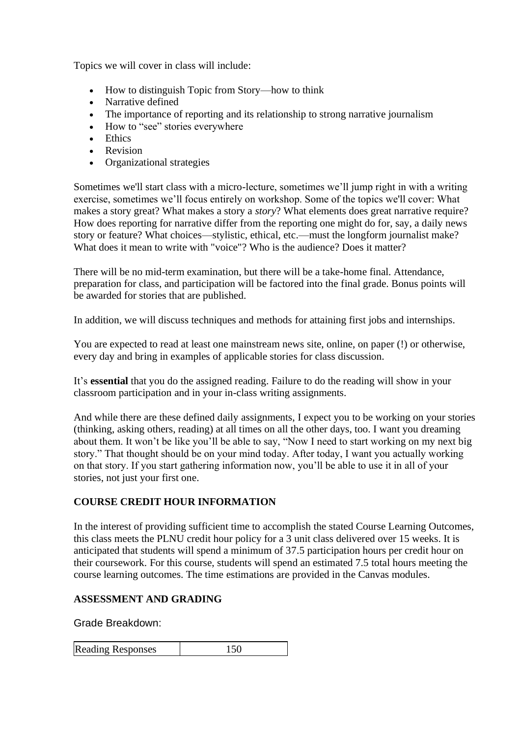Topics we will cover in class will include:

- How to distinguish Topic from Story—how to think
- Narrative defined
- The importance of reporting and its relationship to strong narrative journalism
- How to "see" stories everywhere
- Ethics
- Revision
- Organizational strategies

Sometimes we'll start class with a micro-lecture, sometimes we'll jump right in with a writing exercise, sometimes we'll focus entirely on workshop. Some of the topics we'll cover: What makes a story great? What makes a story a *story*? What elements does great narrative require? How does reporting for narrative differ from the reporting one might do for, say, a daily news story or feature? What choices—stylistic, ethical, etc.—must the longform journalist make? What does it mean to write with "voice"? Who is the audience? Does it matter?

There will be no mid-term examination, but there will be a take-home final. Attendance, preparation for class, and participation will be factored into the final grade. Bonus points will be awarded for stories that are published.

In addition, we will discuss techniques and methods for attaining first jobs and internships.

You are expected to read at least one mainstream news site, online, on paper (!) or otherwise, every day and bring in examples of applicable stories for class discussion.

It's **essential** that you do the assigned reading. Failure to do the reading will show in your classroom participation and in your in-class writing assignments.

And while there are these defined daily assignments, I expect you to be working on your stories (thinking, asking others, reading) at all times on all the other days, too. I want you dreaming about them. It won't be like you'll be able to say, "Now I need to start working on my next big story." That thought should be on your mind today. After today, I want you actually working on that story. If you start gathering information now, you'll be able to use it in all of your stories, not just your first one.

# **COURSE CREDIT HOUR INFORMATION**

In the interest of providing sufficient time to accomplish the stated Course Learning Outcomes, this class meets the PLNU credit hour policy for a 3 unit class delivered over 15 weeks. It is anticipated that students will spend a minimum of 37.5 participation hours per credit hour on their coursework. For this course, students will spend an estimated 7.5 total hours meeting the course learning outcomes. The time estimations are provided in the Canvas modules.

### **ASSESSMENT AND GRADING**

Grade Breakdown:

| <b>Reading Responses</b> | 150 |
|--------------------------|-----|
|                          |     |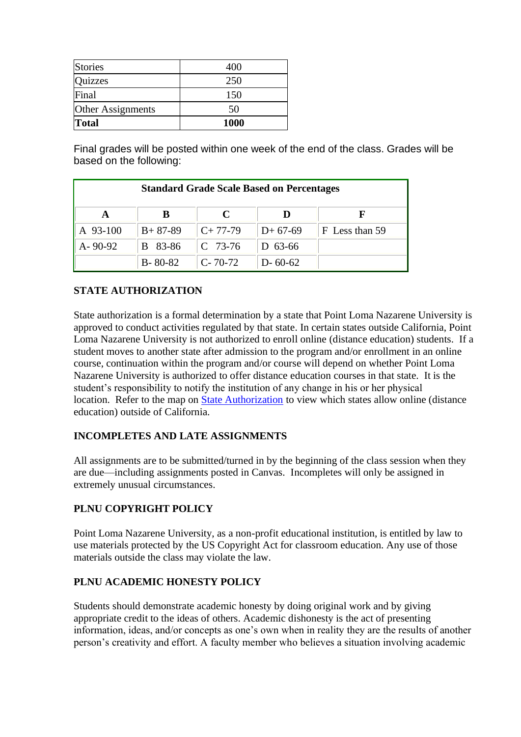| Stories           | 400         |
|-------------------|-------------|
| Quizzes           | 250         |
| Final             | 150         |
| Other Assignments | 50          |
| <b>Total</b>      | <b>1000</b> |

Final grades will be posted within one week of the end of the class. Grades will be based on the following:

| <b>Standard Grade Scale Based on Percentages</b> |               |               |               |                |  |  |
|--------------------------------------------------|---------------|---------------|---------------|----------------|--|--|
| A                                                | B             | C             |               |                |  |  |
| A 93-100                                         | $B+87-89$     | $C+77-79$     | $D+67-69$     | F Less than 59 |  |  |
| $A - 90 - 92$                                    | B 83-86       | $C$ 73-76     | D $63-66$     |                |  |  |
|                                                  | $B - 80 - 82$ | $C - 70 - 72$ | $D - 60 - 62$ |                |  |  |

# **STATE AUTHORIZATION**

State authorization is a formal determination by a state that Point Loma Nazarene University is approved to conduct activities regulated by that state. In certain states outside California, Point Loma Nazarene University is not authorized to enroll online (distance education) students. If a student moves to another state after admission to the program and/or enrollment in an online course, continuation within the program and/or course will depend on whether Point Loma Nazarene University is authorized to offer distance education courses in that state. It is the student's responsibility to notify the institution of any change in his or her physical location. Refer to the map on [State Authorization](https://www.pointloma.edu/offices/office-institutional-effectiveness-research/disclosures) to view which states allow online (distance education) outside of California.

### **INCOMPLETES AND LATE ASSIGNMENTS**

All assignments are to be submitted/turned in by the beginning of the class session when they are due—including assignments posted in Canvas. Incompletes will only be assigned in extremely unusual circumstances.

# **PLNU COPYRIGHT POLICY**

Point Loma Nazarene University, as a non-profit educational institution, is entitled by law to use materials protected by the US Copyright Act for classroom education. Any use of those materials outside the class may violate the law.

### **PLNU ACADEMIC HONESTY POLICY**

Students should demonstrate academic honesty by doing original work and by giving appropriate credit to the ideas of others. Academic dishonesty is the act of presenting information, ideas, and/or concepts as one's own when in reality they are the results of another person's creativity and effort. A faculty member who believes a situation involving academic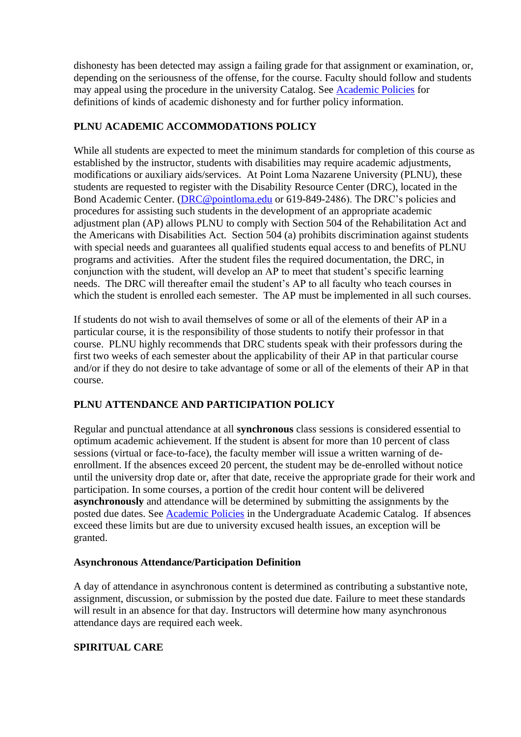dishonesty has been detected may assign a failing grade for that assignment or examination, or, depending on the seriousness of the offense, for the course. Faculty should follow and students may appeal using the procedure in the university Catalog. See [Academic Policies](http://catalog.pointloma.edu/content.php?catoid=18&navoid=1278) for definitions of kinds of academic dishonesty and for further policy information.

### **PLNU ACADEMIC ACCOMMODATIONS POLICY**

While all students are expected to meet the minimum standards for completion of this course as established by the instructor, students with disabilities may require academic adjustments, modifications or auxiliary aids/services. At Point Loma Nazarene University (PLNU), these students are requested to register with the Disability Resource Center (DRC), located in the Bond Academic Center. [\(DRC@pointloma.edu](mailto:DRC@pointloma.edu) or 619-849-2486). The DRC's policies and procedures for assisting such students in the development of an appropriate academic adjustment plan (AP) allows PLNU to comply with Section 504 of the Rehabilitation Act and the Americans with Disabilities Act. Section 504 (a) prohibits discrimination against students with special needs and guarantees all qualified students equal access to and benefits of PLNU programs and activities. After the student files the required documentation, the DRC, in conjunction with the student, will develop an AP to meet that student's specific learning needs. The DRC will thereafter email the student's AP to all faculty who teach courses in which the student is enrolled each semester. The AP must be implemented in all such courses.

If students do not wish to avail themselves of some or all of the elements of their AP in a particular course, it is the responsibility of those students to notify their professor in that course. PLNU highly recommends that DRC students speak with their professors during the first two weeks of each semester about the applicability of their AP in that particular course and/or if they do not desire to take advantage of some or all of the elements of their AP in that course.

# **PLNU ATTENDANCE AND PARTICIPATION POLICY**

Regular and punctual attendance at all **synchronous** class sessions is considered essential to optimum academic achievement. If the student is absent for more than 10 percent of class sessions (virtual or face-to-face), the faculty member will issue a written warning of deenrollment. If the absences exceed 20 percent, the student may be de-enrolled without notice until the university drop date or, after that date, receive the appropriate grade for their work and participation. In some courses, a portion of the credit hour content will be delivered **asynchronously** and attendance will be determined by submitting the assignments by the posted due dates. See [Academic Policies](https://catalog.pointloma.edu/content.php?catoid=46&navoid=2650#Class_Attendance) in the Undergraduate Academic Catalog. If absences exceed these limits but are due to university excused health issues, an exception will be granted.

### **Asynchronous Attendance/Participation Definition**

A day of attendance in asynchronous content is determined as contributing a substantive note, assignment, discussion, or submission by the posted due date. Failure to meet these standards will result in an absence for that day. Instructors will determine how many asynchronous attendance days are required each week.

### **SPIRITUAL CARE**